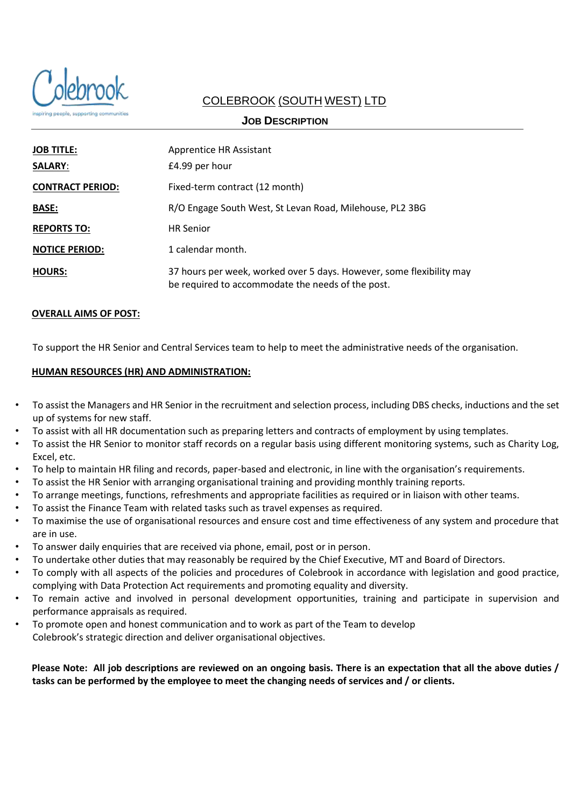

# COLEBROOK (SOUTH WEST) LTD

## **JOB DESCRIPTION**

| <b>JOB TITLE:</b>       | Apprentice HR Assistant                                                                                                   |  |  |
|-------------------------|---------------------------------------------------------------------------------------------------------------------------|--|--|
| <b>SALARY:</b>          | £4.99 per hour                                                                                                            |  |  |
| <b>CONTRACT PERIOD:</b> | Fixed-term contract (12 month)                                                                                            |  |  |
| <b>BASE:</b>            | R/O Engage South West, St Levan Road, Milehouse, PL2 3BG                                                                  |  |  |
| <b>REPORTS TO:</b>      | <b>HR Senior</b>                                                                                                          |  |  |
| <b>NOTICE PERIOD:</b>   | 1 calendar month.                                                                                                         |  |  |
| <b>HOURS:</b>           | 37 hours per week, worked over 5 days. However, some flexibility may<br>be required to accommodate the needs of the post. |  |  |

#### **OVERALL AIMS OF POST:**

To support the HR Senior and Central Services team to help to meet the administrative needs of the organisation.

### **HUMAN RESOURCES (HR) AND ADMINISTRATION:**

- To assist the Managers and HR Senior in the recruitment and selection process, including DBS checks, inductions and the set up of systems for new staff.
- To assist with all HR documentation such as preparing letters and contracts of employment by using templates.
- To assist the HR Senior to monitor staff records on a regular basis using different monitoring systems, such as Charity Log, Excel, etc.
- To help to maintain HR filing and records, paper-based and electronic, in line with the organisation's requirements.
- To assist the HR Senior with arranging organisational training and providing monthly training reports.
- To arrange meetings, functions, refreshments and appropriate facilities as required or in liaison with other teams.
- To assist the Finance Team with related tasks such as travel expenses as required.
- To maximise the use of organisational resources and ensure cost and time effectiveness of any system and procedure that are in use.
- To answer daily enquiries that are received via phone, email, post or in person.
- To undertake other duties that may reasonably be required by the Chief Executive, MT and Board of Directors.
- To comply with all aspects of the policies and procedures of Colebrook in accordance with legislation and good practice, complying with Data Protection Act requirements and promoting equality and diversity.
- To remain active and involved in personal development opportunities, training and participate in supervision and performance appraisals as required.
- To promote open and honest communication and to work as part of the Team to develop Colebrook's strategic direction and deliver organisational objectives.

**Please Note: All job descriptions are reviewed on an ongoing basis. There is an expectation that all the above duties / tasks can be performed by the employee to meet the changing needs of services and / or clients.**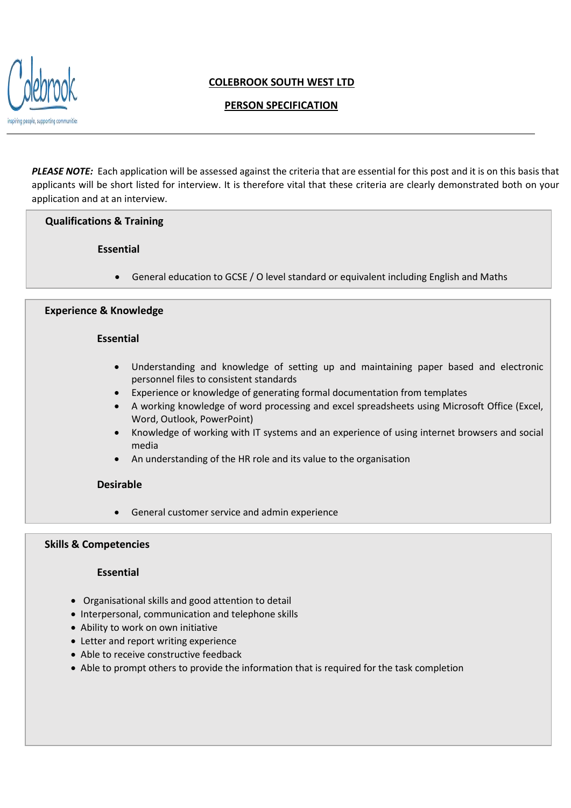

# **COLEBROOK SOUTH WEST LTD**

# **PERSON SPECIFICATION**

*PLEASE NOTE:* Each application will be assessed against the criteria that are essential for this post and it is on this basis that applicants will be short listed for interview. It is therefore vital that these criteria are clearly demonstrated both on your application and at an interview.

### **Qualifications & Training**

### **Essential**

• General education to GCSE / O level standard or equivalent including English and Maths

#### **Experience & Knowledge**

#### **Essential**

- Understanding and knowledge of setting up and maintaining paper based and electronic personnel files to consistent standards
- Experience or knowledge of generating formal documentation from templates
- A working knowledge of word processing and excel spreadsheets using Microsoft Office (Excel, Word, Outlook, PowerPoint)
- Knowledge of working with IT systems and an experience of using internet browsers and social media
- An understanding of the HR role and its value to the organisation

#### **Desirable**

• General customer service and admin experience

#### **Skills & Competencies**

#### **Essential**

- Organisational skills and good attention to detail
- Interpersonal, communication and telephone skills
- Ability to work on own initiative
- Letter and report writing experience
- Able to receive constructive feedback
- Able to prompt others to provide the information that is required for the task completion